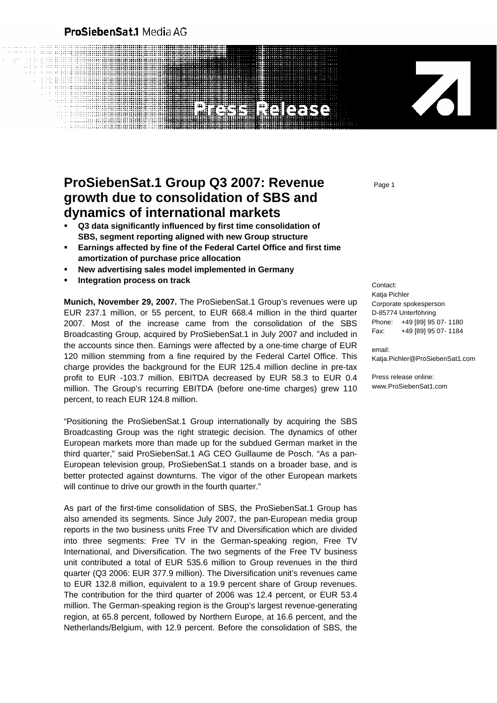## ProSiebenSat.1 Media AG

and att

# **ProSiebenSat.1 Group Q3 2007: Revenue growth due to consolidation of SBS and dynamics of international markets**

- **Q3 data significantly influenced by first time consolidation of SBS, segment reporting aligned with new Group structure**
- **Earnings affected by fine of the Federal Cartel Office and first time amortization of purchase price allocation**
- **New advertising sales model implemented in Germany**
- **Integration process on track and a set of the contact:** Contact:

**Munich, November 29, 2007.** The ProSiebenSat.1 Group's revenues were up EUR 237.1 million, or 55 percent, to EUR 668.4 million in the third quarter 2007. Most of the increase came from the consolidation of the SBS Broadcasting Group, acquired by ProSiebenSat.1 in July 2007 and included in the accounts since then. Earnings were affected by a one-time charge of EUR 120 million stemming from a fine required by the Federal Cartel Office. This charge provides the background for the EUR 125.4 million decline in pre-tax profit to EUR -103.7 million. EBITDA decreased by EUR 58.3 to EUR 0.4 million. The Group's recurring EBITDA (before one-time charges) grew 110 percent, to reach EUR 124.8 million.

"Positioning the ProSiebenSat.1 Group internationally by acquiring the SBS Broadcasting Group was the right strategic decision. The dynamics of other European markets more than made up for the subdued German market in the third quarter," said ProSiebenSat.1 AG CEO Guillaume de Posch. "As a pan-European television group, ProSiebenSat.1 stands on a broader base, and is better protected against downturns. The vigor of the other European markets will continue to drive our growth in the fourth quarter."

As part of the first-time consolidation of SBS, the ProSiebenSat.1 Group has also amended its segments. Since July 2007, the pan-European media group reports in the two business units Free TV and Diversification which are divided into three segments: Free TV in the German-speaking region, Free TV International, and Diversification. The two segments of the Free TV business unit contributed a total of EUR 535.6 million to Group revenues in the third quarter (Q3 2006: EUR 377.9 million). The Diversification unit's revenues came to EUR 132.8 million, equivalent to a 19.9 percent share of Group revenues. The contribution for the third quarter of 2006 was 12.4 percent, or EUR 53.4 million. The German-speaking region is the Group's largest revenue-generating region, at 65.8 percent, followed by Northern Europe, at 16.6 percent, and the Netherlands/Belgium, with 12.9 percent. Before the consolidation of SBS, the Page 1

Katja Pichler Corporate spokesperson D-85774 Unterföhring Phone: +49 [89] 95 07- 1180 Fax: +49 [89] 95 07- 1184

Z

email: Katja.Pichler@ProSiebenSat1.com

Press release online: www.ProSiebenSat1.com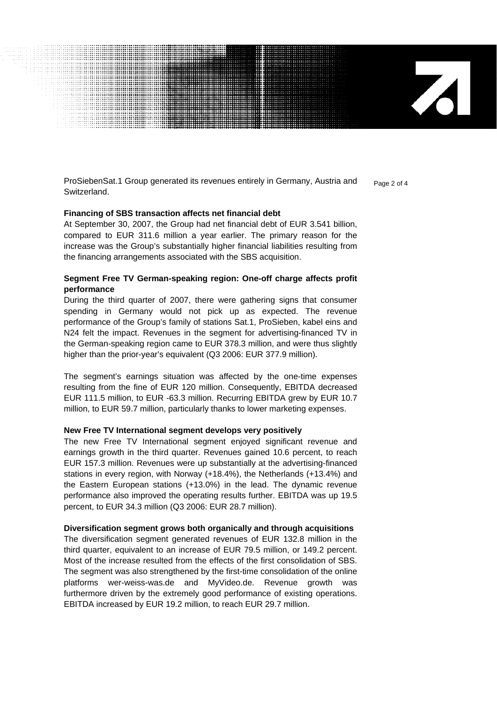ProSiebenSat.1 Group generated its revenues entirely in Germany, Austria and  $P_{\text{Page 2 of 4}}$ Switzerland.

Z

#### **Financing of SBS transaction affects net financial debt**

At September 30, 2007, the Group had net financial debt of EUR 3.541 billion, compared to EUR 311.6 million a year earlier. The primary reason for the increase was the Group's substantially higher financial liabilities resulting from the financing arrangements associated with the SBS acquisition.

### **Segment Free TV German-speaking region: One-off charge affects profit performance**

During the third quarter of 2007, there were gathering signs that consumer spending in Germany would not pick up as expected. The revenue performance of the Group's family of stations Sat.1, ProSieben, kabel eins and N24 felt the impact. Revenues in the segment for advertising-financed TV in the German-speaking region came to EUR 378.3 million, and were thus slightly higher than the prior-year's equivalent (Q3 2006: EUR 377.9 million).

The segment's earnings situation was affected by the one-time expenses resulting from the fine of EUR 120 million. Consequently, EBITDA decreased EUR 111.5 million, to EUR -63.3 million. Recurring EBITDA grew by EUR 10.7 million, to EUR 59.7 million, particularly thanks to lower marketing expenses.

#### **New Free TV International segment develops very positively**

The new Free TV International segment enjoyed significant revenue and earnings growth in the third quarter. Revenues gained 10.6 percent, to reach EUR 157.3 million. Revenues were up substantially at the advertising-financed stations in every region, with Norway (+18.4%), the Netherlands (+13.4%) and the Eastern European stations (+13.0%) in the lead. The dynamic revenue performance also improved the operating results further. EBITDA was up 19.5 percent, to EUR 34.3 million (Q3 2006: EUR 28.7 million).

#### **Diversification segment grows both organically and through acquisitions**

The diversification segment generated revenues of EUR 132.8 million in the third quarter, equivalent to an increase of EUR 79.5 million, or 149.2 percent. Most of the increase resulted from the effects of the first consolidation of SBS. The segment was also strengthened by the first-time consolidation of the online platforms wer-weiss-was.de and MyVideo.de. Revenue growth was furthermore driven by the extremely good performance of existing operations. EBITDA increased by EUR 19.2 million, to reach EUR 29.7 million.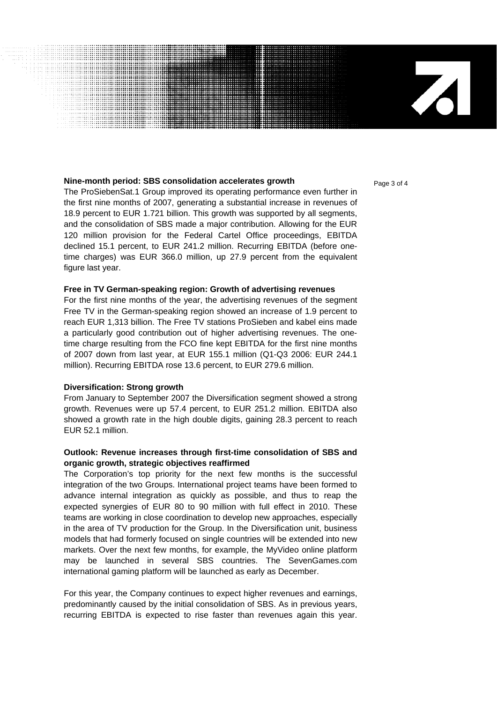#### **Nine-month period: SBS consolidation accelerates growth Page 3 of 4**

The ProSiebenSat.1 Group improved its operating performance even further in the first nine months of 2007, generating a substantial increase in revenues of 18.9 percent to EUR 1.721 billion. This growth was supported by all segments, and the consolidation of SBS made a major contribution. Allowing for the EUR 120 million provision for the Federal Cartel Office proceedings, EBITDA declined 15.1 percent, to EUR 241.2 million. Recurring EBITDA (before onetime charges) was EUR 366.0 million, up 27.9 percent from the equivalent figure last year.

#### **Free in TV German-speaking region: Growth of advertising revenues**

For the first nine months of the year, the advertising revenues of the segment Free TV in the German-speaking region showed an increase of 1.9 percent to reach EUR 1,313 billion. The Free TV stations ProSieben and kabel eins made a particularly good contribution out of higher advertising revenues. The onetime charge resulting from the FCO fine kept EBITDA for the first nine months of 2007 down from last year, at EUR 155.1 million (Q1-Q3 2006: EUR 244.1 million). Recurring EBITDA rose 13.6 percent, to EUR 279.6 million.

#### **Diversification: Strong growth**

From January to September 2007 the Diversification segment showed a strong growth. Revenues were up 57.4 percent, to EUR 251.2 million. EBITDA also showed a growth rate in the high double digits, gaining 28.3 percent to reach EUR 52.1 million.

### **Outlook: Revenue increases through first-time consolidation of SBS and organic growth, strategic objectives reaffirmed**

The Corporation's top priority for the next few months is the successful integration of the two Groups. International project teams have been formed to advance internal integration as quickly as possible, and thus to reap the expected synergies of EUR 80 to 90 million with full effect in 2010. These teams are working in close coordination to develop new approaches, especially in the area of TV production for the Group. In the Diversification unit, business models that had formerly focused on single countries will be extended into new markets. Over the next few months, for example, the MyVideo online platform may be launched in several SBS countries. The SevenGames.com international gaming platform will be launched as early as December.

For this year, the Company continues to expect higher revenues and earnings, predominantly caused by the initial consolidation of SBS. As in previous years, recurring EBITDA is expected to rise faster than revenues again this year.

 $\mathbf{Z}$